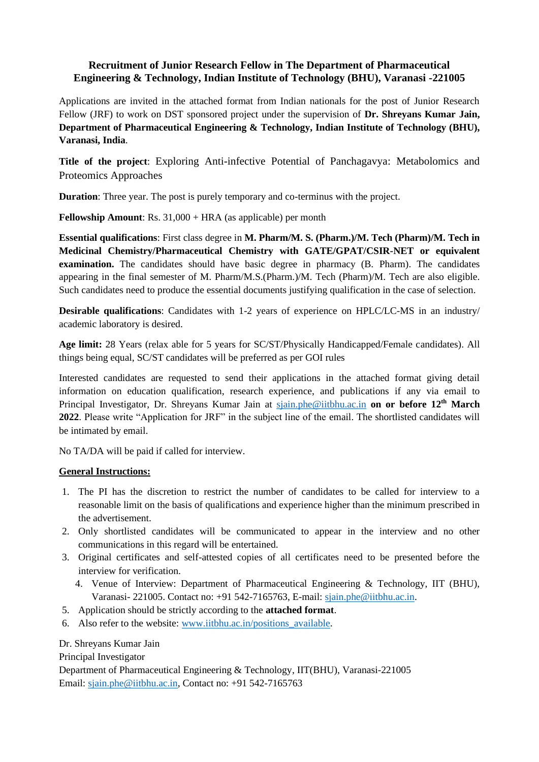## **Recruitment of Junior Research Fellow in The Department of Pharmaceutical Engineering & Technology, Indian Institute of Technology (BHU), Varanasi -221005**

Applications are invited in the attached format from Indian nationals for the post of Junior Research Fellow (JRF) to work on DST sponsored project under the supervision of **Dr. Shreyans Kumar Jain, Department of Pharmaceutical Engineering & Technology, Indian Institute of Technology (BHU), Varanasi, India**.

**Title of the project**: Exploring Anti-infective Potential of Panchagavya: Metabolomics and Proteomics Approaches

**Duration**: Three year. The post is purely temporary and co-terminus with the project.

**Fellowship Amount:** Rs. 31,000 + HRA (as applicable) per month

**Essential qualifications**: First class degree in **M. Pharm/M. S. (Pharm.)/M. Tech (Pharm)/M. Tech in Medicinal Chemistry/Pharmaceutical Chemistry with GATE/GPAT/CSIR-NET or equivalent examination.** The candidates should have basic degree in pharmacy (B. Pharm). The candidates appearing in the final semester of M. Pharm/M.S.(Pharm.)/M. Tech (Pharm)/M. Tech are also eligible. Such candidates need to produce the essential documents justifying qualification in the case of selection.

**Desirable qualifications**: Candidates with 1-2 years of experience on HPLC/LC-MS in an industry/ academic laboratory is desired.

**Age limit:** 28 Years (relax able for 5 years for SC/ST/Physically Handicapped/Female candidates). All things being equal, SC/ST candidates will be preferred as per GOI rules

Interested candidates are requested to send their applications in the attached format giving detail information on education qualification, research experience, and publications if any via email to Principal Investigator, Dr. Shreyans Kumar Jain at [sjain.phe@iitbhu.ac.in](mailto:sjain.phe@iitbhu.ac.in) **on or before 12 th March 2022**. Please write "Application for JRF" in the subject line of the email. The shortlisted candidates will be intimated by email.

No TA/DA will be paid if called for interview.

## **General Instructions:**

- 1. The PI has the discretion to restrict the number of candidates to be called for interview to a reasonable limit on the basis of qualifications and experience higher than the minimum prescribed in the advertisement.
- 2. Only shortlisted candidates will be communicated to appear in the interview and no other communications in this regard will be entertained.
- 3. Original certificates and self-attested copies of all certificates need to be presented before the interview for verification.
	- 4. Venue of Interview: Department of Pharmaceutical Engineering & Technology, IIT (BHU), Varanasi- 221005. Contact no: +91 542-7165763, E-mail: [sjain.phe@iitbhu.ac.in.](mailto:sjain.phe@iitbhu.ac.in)
- 5. Application should be strictly according to the **attached format**.
- 6. Also refer to the website: [www.iitbhu.ac.in/positions\\_available.](http://www.iitbhu.ac.in/positions_available)

Dr. Shreyans Kumar Jain

Principal Investigator

Department of Pharmaceutical Engineering & Technology, IIT(BHU), Varanasi-221005 Email: [sjain.phe@iitbhu.ac.in,](mailto:sjain.phe@iitbhu.ac.in) Contact no: +91 542-7165763